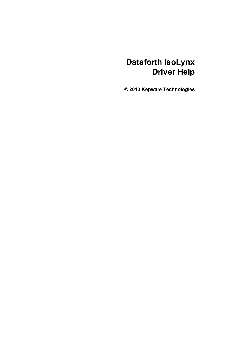# **Dataforth IsoLynx Driver Help**

**© 2013 Kepware Technologies**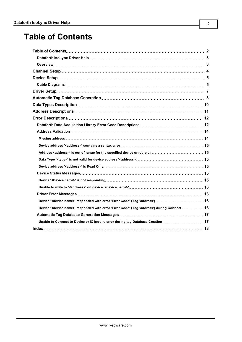# <span id="page-1-0"></span>**Table of Contents**

| Device ' <device name="">' responded with error 'Error Code' (Tag 'address') 16</device>                |  |
|---------------------------------------------------------------------------------------------------------|--|
| Device ' <device name="">' responded with error 'Error Code' (Tag 'address') during Connect 16</device> |  |
|                                                                                                         |  |
| Unable to Connect to Device or IO Inquire error during tag Database Creation 17                         |  |
|                                                                                                         |  |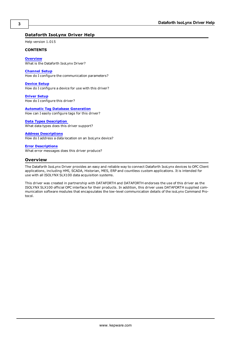### <span id="page-2-0"></span>**Dataforth IsoLynx Driver Help**

Help version 1.015

#### **CONTENTS**

**[Overview](#page-2-1)** What is the Dataforth IsoLynx Driver?

**[Channel](#page-3-0) [Setup](#page-3-0)** How do I configure the communication parameters?

**[Device](#page-4-0) [Setup](#page-4-0)** How do I configure a device for use with this driver?

**[Driver](#page-6-0) [Setup](#page-6-0)** How do I configure this driver?

#### **[Automatic](#page-7-0) [Tag](#page-7-0) [Database](#page-7-0) [Generation](#page-7-0)**

How can I easily configure tags for this driver?

#### **[Data](#page-9-0) [Types](#page-9-0) [Description](#page-9-0)**

What data types does this driver support?

#### **[Address](#page-10-0) [Descriptions](#page-10-0)**

How do I address a data location on an IsoLynx device?

### **[Error](#page-11-0) [Descriptions](#page-11-0)**

<span id="page-2-1"></span>What error messages does this driver produce?

#### **Overview**

The Dataforth IsoLynx Driver provides an easy and reliable way to connect Dataforth IsoLynx devices to OPC Client applications, including HMI, SCADA, Historian, MES, ERP and countless custom applications. It is intended for use with all ISOLYNX SLX100 data acquisition systems.

This driver was created in partnership with DATAFORTH and DATAFORTH endorses the use of this driver as the ISOLYNX SLX100 official OPC interface for their products. In addition, this driver uses DATAFORTH supplied communication software modules that encapsulates the low-level communication details of the isoLynx Command Protocol.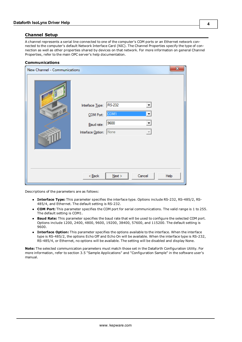### <span id="page-3-1"></span><span id="page-3-0"></span>**Channel Setup**

A channel represents a serial line connected to one of the computer's COM ports or an Ethernet network connected to the computer's default Network Interface Card (NIC). The Channel Properties specify the type of connection as well as other properties shared by devices on that network. For more information on general Channel Properties, refer to the main OPC server's help documentation.

#### **Communications**

| New Channel - Communications |                                                                                                                              | x    |
|------------------------------|------------------------------------------------------------------------------------------------------------------------------|------|
| -8 A                         | Interface Type: RS-232<br>▼<br>COM Port: COM1<br>▾╎<br>Baud rate: 9600<br>▼<br>Interface Option: None<br>$\overline{\nabla}$ |      |
|                              | $<  \underline{\mathsf{Back}}$<br>$N$ ext ><br>Cancel                                                                        | Help |

Descriptions of the parameters are as follows:

- l **Interface Type:** This parameter specifies the interface type. Options include RS-232, RS-485/2, RS-485/4, and Ethernet. The default setting is RS-232.
- **COM Port:** This parameter specifies the COM port for serial communications. The valid range is 1 to 255. The default setting is COM1.
- l **Baud Rate:** This parameter specifies the baud rate that will be used to configure the selected COM port. Options include 1200, 2400, 4800, 9600, 19200, 38400, 57600, and 115200. The default setting is 9600.
- l **Interface Option:** This parameter specifies the options available to the interface. When the interface type is RS-485/2, the options Echo Off and Echo On will be available. When the interface type is RS-232, RS-485/4, or Ethernet, no options will be available. The setting will be disabled and display None.

**Note:** The selected communication parameters must match those set in the Dataforth Configuration Utility. For more information, refer to section 3.5 "Sample Applications" and "Configuration Sample" in the software user's manual.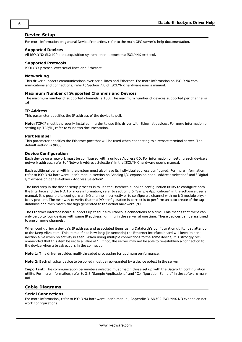#### <span id="page-4-0"></span>**Device Setup**

For more information on general Device Properties, refer to the main OPC server's help documentation.

#### **Supported Devices**

All ISOLYNX SLX100 data acquisition systems that support the ISOLYNX protocol.

#### **Supported Protocols**

ISOLYNX protocol over serial lines and Ethernet.

#### **Networking**

This driver supports communications over serial lines and Ethernet. For more information on ISOLYNX communications and connections, refer to Section 7.0 of ISOLYNX hardware user's manual.

#### **Maximum Number of Supported Channels and Devices**

The maximum number of supported channels is 100. The maximum number of devices supported per channel is 16.

#### **IP Address**

This parameter specifies the IP address of the device to poll.

**Note:** TCP/IP must be properly installed in order to use this driver with Ethernet devices. For more information on setting up TCP/IP, refer to Windows documentation.

#### **Port Number**

This parameter specifies the Ethernet port that will be used when connecting to a remote terminal server. The default setting is 9000.

#### **Device Configuration**

Each device on a network must be configured with a unique Address/ID. For information on setting each device's network address, refer to "Network Address Selection" in the ISOLYNX hardware user's manual.

Each additional panel within the system must also have its individual address configured. For more information, refer to ISOLYNX hardware user's manual section on "Analog I/O expansion panel-Address selection" and "Digital I/O expansion panel-Network Address Selection".

The final step in the device setup process is to use the Dataforth supplied configuration utility to configure both the Interface and the I/O. For more information, refer to section 3.5 "Sample Applications" in the software user's manual. It is possible to configure an I/O channel incorrectly or to configure a channel with no I/O module physically present. The best way to verify that the I/O configuration is correct is to perform an auto create of the tag database and then match the tags generated to the actual hardware I/O.

The Ethernet interface board supports up to four simultaneous connections at a time. This means that there can only be up to four devices with same IP address running in the server at one time. These devices can be assigned to one or more channels.

When configuring a device's IP address and associated items using Dataforth's configuration utility, pay attention to the Keep Alive item. This item defines how long (in seconds) the Ethernet interface board will keep its connection alive when no activity is seen. When using multiple connections to the same device, it is strongly recommended that this item be set to a value of 1. If not, the server may not be able to re-establish a connection to the device when a break occurs in the connection.

**Note 1:** This driver provides multi-threaded processing for optimum performance.

**Note 2:** Each physical device to be polled must be represented by a device object in the server.

**Important:** The communication parameters selected must match those set up with the Dataforth configuration utility. For more information, refer to 3.5 "Sample Applications" and "Configuration Sample" in the software manual.

#### <span id="page-4-2"></span><span id="page-4-1"></span>**Cable Diagrams**

#### **Serial Connections**

For more information, refer to ISOLYNX hardware user's manual, Appendix D-AN302 ISOLYNX I/O expansion network configurations.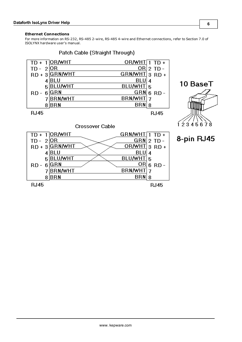#### <span id="page-5-0"></span>**Ethernet Connections**

For more information on RS-232, RS-485 2-wire, RS-485 4-wire and Ethernet connections, refer to Section 7.0 of ISOLYNX hardware user's manual.

Patch Cable (Straight Through)

| $TD +$        | OR/WHT         | $OR/MHT1TD+$   |          |
|---------------|----------------|----------------|----------|
| $-21$<br>TD - | 10R            | ORI            | $2$ TD - |
| $RD + 3$      | <b>GRN/WHT</b> | GRN/WHT 3 RD + |          |
|               | BLU            | BLL            |          |
| 5             | <b>BLU/WHT</b> | <b>BLU/WHT</b> | 5        |
| RD            | GRN            | GRN            | 6 RD     |
|               | <b>BRN/WHT</b> | <b>BRN/WHT</b> |          |
|               | BRN            | BRN            | 8        |
| RJ45          |                |                | RJ45     |





8-pin RJ45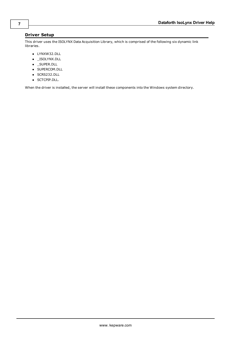### <span id="page-6-0"></span>**Driver Setup**

This driver uses the ISOLYNX Data Acquisition Library, which is comprised of the following six dynamic link libraries.

- LYNXW32.DLL
- \_ISOLYNX.DLL
- \_SUPER.DLL
- **· SUPERCOM.DLL**
- SCRS232.DLL
- SCTCPIP.DLL.

<span id="page-6-1"></span>When the driver is installed, the server will install these components into the Windows system directory.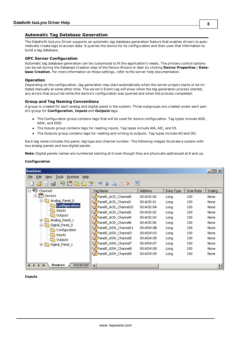#### <span id="page-7-0"></span>**Automatic Tag Database Generation**

The Dataforth IsoLynx Driver supports an automatic tag database generation feature that enables drivers to automatically create tags to access data. It queries the device for its configuration and then uses that information to build a tag database.

#### **OPC Server Configuration**

Automatic tag database generation can be customized to fit the application's needs. The primary control options can be set during the Database Creation step of the Device Wizard or later by clicking **Device Properties** | **Database Creation**. For more information on these settings, refer to the server help documentation.

#### **Operation**

Depending on the configuration, tag generation may start automatically when the server project starts or be initiated manually at some other time. The server's Event Log will show when the tag generation process started, any errors that occurred while the device's configuration was queried and when the process completed.

#### **Group and Tag Naming Conventions**

A group is created for each analog and digital panel in the system. Three subgroups are created under each panel's group for **Configuration**, **Inputs** and **Outputs** tags.

- The Configuration group contains tags that will be used for device configuration. Tag types include AOD, ASW, and DOD.
- The Inputs group contains tags for reading inputs. Tag types include AIA, AIC, and DI.
- l The Outputs group contains tags for reading and writing to outputs. Tag types include AO and DO.

Each tag name includes the panel, tag type and channel number. The following images illustrate a system with two analog panels and two digital panels.

**Note:** Digital panels names are numbered starting at 0 even though they are physically addressed at 8 and up.

#### **Configuration**

| Runtime                                          |                        |                |           |           | $\Box$ $\Box$ $\times$ |
|--------------------------------------------------|------------------------|----------------|-----------|-----------|------------------------|
| File<br>Edit<br>Help<br>View<br>Runtime<br>Tools |                        |                |           |           |                        |
| ΨΩ<br><b>AU</b><br>bż<br>34                      | LY.<br>TA.<br>Ea 1     | 匷              |           |           |                        |
| G)<br>Channel1<br>Fŀ                             | Tag Name               | <b>Address</b> | Data Type | Scan Rate | Scaling                |
| Device1                                          | Panel0_AOD_Channel0    | 00:AOD:00      | Long      | 100       | None                   |
| Analog Panel 0 <br>后                             | Panel0_AOD_Channel1    | 00:AOD:01      | Long      | 100       | None                   |
| Configuration                                    | Panel0_AOD_Channel10   | 00:AOD:0A      | Long      | 100       | None                   |
| Inputs<br>$\sqrt{2}$                             | Panel0_AOD_Channel2    | 00:AOD:02      | Long      | 100       | None                   |
| Outputs<br>Analog Panel 1                        | Panel0_AOD_Channel4    | 00:AOD:04      | Long      | 100       | None                   |
| Digital_Panel_0<br>F                             | Panel0_AOD_Channel6    | 00:AOD:06      | Long      | 100       | None                   |
| Configuration                                    | Panel0_ASW_Channel11   | 00:ASW:0B      | Long      | 100       | None                   |
| Inputs<br>$\sqrt{2}$                             | Panel0_ASW_Channel3    | 00:ASW:03      | Long      | 100       | None                   |
| <b>Outputs</b>                                   | Panel0_ASW_Channel5    | 00:ASW:05      | Long      | 100       | None                   |
| Digital_Panel_1<br>FFI-                          | Panel0_ASW_Channel7    | 00:ASW:07      | Long      | 100       | None                   |
|                                                  | Panel0_ASW_Channel8    | 00:ASW:08      | Long      | 100       | None                   |
|                                                  | Panel0_ASW_Channel9    | 00:ASW:09      | Long      | 100       | None                   |
|                                                  |                        |                |           |           |                        |
| Devices<br>Advanced<br>$\blacksquare$            | $\left  \cdot \right $ |                |           |           |                        |

#### **Inputs**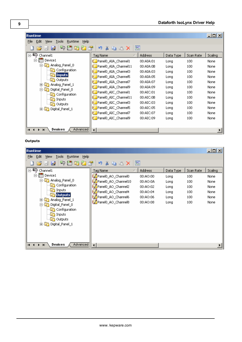| Runtime                                                        |                        |                |           |           | $-10X$  |
|----------------------------------------------------------------|------------------------|----------------|-----------|-----------|---------|
| File<br>Edit<br>Help<br>Runtime<br><b>Tools</b><br><b>View</b> |                        |                |           |           |         |
| 计防行管<br>ಇ<br>la2<br>H                                          | LY.<br>¥<br>BX<br>lia. | 鸥              |           |           |         |
| $\Box$<br>Channel1                                             | Tag Name               | <b>Address</b> | Data Type | Scan Rate | Scaling |
| <b>TH</b> Device1                                              | Panel0_AIA_Channel1    | 00:AIA:01      | Long      | 100       | None    |
| Analog Panel 0<br>Ėŀ<br>$\sqrt{2}$                             | Panel0_AIA_Channel11   | 00:AIA:0B      | Long      | 100       | None    |
| Configuration                                                  | Panel0_AIA_Channel3    | 00:AIA:03      | Long      | 100       | None    |
| <b>Inputs</b>                                                  | Panel0_AIA_Channel5    | 00:AIA:05      | Long      | 100       | None    |
| Outputs<br>Analog_Panel_1<br>曱                                 | Panel0_AIA_Channel7    | 00:AIA:07      | Long      | 100       | None    |
| Digital_Panel_0<br>F۱۰                                         | Panel0_AIA_Channel9    | 00:AIA:09      | Long      | 100       | None    |
| Configuration<br>$\sqrt{2}$                                    | Panel0_AIC_Channel1    | 00:AIC:01      | Long      | 100       | None    |
| Inputs<br>$\sqrt{2}$                                           | Panel0_AIC_Channel11   | 00:AIC:OB      | Long      | 100       | None    |
| Outputs                                                        | &Panel0_AIC_Channel3   | 00:AIC:03      | Long      | 100       | None    |
| Digital_Panel_1<br>F-I<br>后                                    | Panel0_AIC_Channel5    | 00:AIC:05      | Long      | 100       | None    |
|                                                                | Panel0_AIC_Channel7    | 00:AIC:07      | Long      | 100       | None    |
|                                                                | Panel0_AIC_Channel9    | 00:AIC:09      | Long      | 100       | None    |
|                                                                |                        |                |           |           |         |
| Devices<br>Advanced<br>$\blacksquare$<br>$\blacktriangleright$ | $\blacktriangleleft$   |                |           |           |         |

#### **Outputs**

| Runtime                                                        |                       |          |           |           | $\Box$ o $\Box$ |
|----------------------------------------------------------------|-----------------------|----------|-----------|-----------|-----------------|
| Eile<br>Edit<br><b>View</b><br><b>Runtime</b><br>Help<br>Tools |                       |          |           |           |                 |
| 中用的红色<br><b>b</b><br>ы                                         | <b>BX</b><br>LO.<br>Ж | 匷        |           |           |                 |
| 日中<br>Channel1                                                 | Tag Name              | Address  | Data Type | Scan Rate | Scaling         |
| 白·       Device1                                               | Panel0_AO_Channel0    | 00:AO:00 | Long      | 100       | None            |
| 白 C Analog_Panel_0                                             | Panel0_AO_Channel10   | 00:AO:0A | Long      | 100       | None            |
| Configuration                                                  | Panel0_AO_Channel2    | 00:AO:02 | Long      | 100       | None            |
| Inputs<br>$-5$<br><b>Outputs</b>                               | Panel0_AO_Channel4    | 00:AO:04 | Long      | 100       | None            |
| Analog_Panel_1<br>由                                            | Panel0_AO_Channel6    | 00:AO:06 | Long      | 100       | None            |
| Digital_Panel_0<br>闩                                           | Panel0_AO_Channel8    | 00:AO:08 | Long      | 100       | None            |
| <b>Configuration</b>                                           |                       |          |           |           |                 |
| $\Box$ Inputs                                                  |                       |          |           |           |                 |
| <b>Doutputs</b>                                                |                       |          |           |           |                 |
| 由 Digital_Panel_1                                              |                       |          |           |           |                 |
|                                                                |                       |          |           |           |                 |
|                                                                |                       |          |           |           |                 |
|                                                                |                       |          |           |           |                 |
| Devices<br>Advanced<br>$\blacksquare$<br>$\blacktriangleright$ | $\blacktriangleleft$  |          |           |           |                 |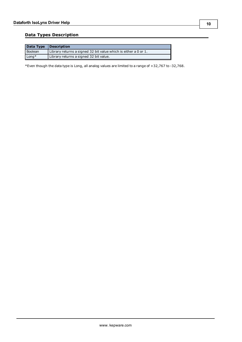### <span id="page-9-0"></span>**Data Types Description**

|                | Data Type Description                                           |
|----------------|-----------------------------------------------------------------|
| <b>Boolean</b> | Library returns a signed 32 bit value which is either a 0 or 1. |
| Long*          | Library returns a signed 32 bit value.                          |

\*Even though the data type is Long, all analog values are limited to a range of +32,767 to -32,768.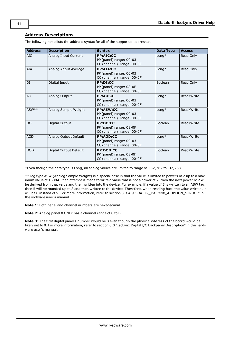### <span id="page-10-0"></span>**Address Descriptions**

| <b>Address</b> | <b>Description</b>     | <b>Syntax</b>                                                            | Data Type   | <b>Access</b> |
|----------------|------------------------|--------------------------------------------------------------------------|-------------|---------------|
| AIC            | Analog Input Current   | <b>PP:AIC:CC</b><br>PP (panel) range: 00-03<br>CC (channel) range: 00-0F | $L$ ong $*$ | Read Only     |
| AIA            | Analog Anput Average   | PP:AIA:CC<br>PP (panel) range: 00-03<br>CC (channel) range: 00-0F        | $Long*$     | Read Only     |
| DI             | Digital Input          | PP:DI:CC<br>PP (panel) range: 08-0F<br>CC (channel) range: 00-0F         | Boolean     | Read Only     |
| AO             | Analog Output          | PP:AO:CC<br>PP (panel) range: 00-03<br>CC (channel) range: 00-0F         | $Long*$     | Read/Write    |
| ASW**          | Analog Sample Weight   | <b>PP:ASW:CC</b><br>PP (panel) range: 00-03<br>CC (channel) range: 00-0F | $L$ ong $*$ | Read/Write    |
| DO             | Digital Output         | PP:DO:CC<br>PP (panel) range: 08-0F<br>CC (channel) range: 00-0F         | Boolean     | Read/Write    |
| <b>AOD</b>     | Analog Output Default  | PP:AOD:CC<br>PP (panel) range: 00-03<br>CC (channel) range: 00-0F        | $L$ ong $*$ | Read/Write    |
| <b>DOD</b>     | Digital Output Default | <b>PP:DOD:CC</b><br>PP (panel) range: 08-0F<br>CC (channel) range: 00-0F | Boolean     | Read/Write    |

The following table lists the address syntax for all of the supported addresses.

\*Even though the data type is Long, all analog values are limited to range of +32,767 to -32,768.

\*\*Tag type ASW (Analog Sample Weight) is a special case in that the value is limited to powers of 2 up to a maximum value of 16384. If an attempt is made to write a value that is not a power of 2, then the next power of 2 will be derived from that value and then written into the device. For example, if a value of 5 is written to an ASW tag, then 5 will be rounded up to 8 and then written to the device. Therefore, when reading back the value written, it will be 8 instead of 5. For more information, refer to section 3.3.4.9 "IOATTR\_ISOLYNX\_AIOPTION\_STRUCT" in the software user's manual.

**Note 1:** Both panel and channel numbers are hexadecimal.

**Note 2:** Analog panel 0 ONLY has a channel range of 0 to B.

**Note 3:** The first digital panel's number would be 8 even though the physical address of the board would be likely set to 0. For more information, refer to section 6.0 "IsoLynx Digital I/O Backpanel Description" in the hardware user's manual.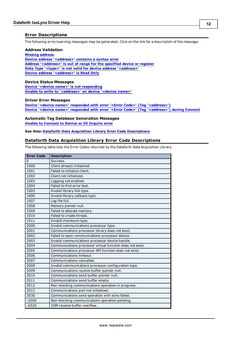#### <span id="page-11-0"></span>**Error Descriptions**

<span id="page-11-2"></span>The following error/warning messages may be generated. Click on the link for a description of the message.

#### **Address Validation**

**[Missing](#page-13-1) [address](#page-13-1) [Device](#page-14-0) [address](#page-14-0) ['<address>'](#page-14-0) [contains](#page-14-0) [a](#page-14-0) [syntax](#page-14-0) [error](#page-14-0) [Address](#page-14-1) ['<address>'](#page-14-1) [is](#page-14-1) [out](#page-14-1) [of](#page-14-1) [range](#page-14-1) [for](#page-14-1) [the](#page-14-1) [specified](#page-14-1) [device](#page-14-1) [or](#page-14-1) [register](#page-14-1) [Data](#page-14-2) [Type](#page-14-2) ['<type>'](#page-14-2) [is](#page-14-2) [not](#page-14-2) [valid](#page-14-2) [for](#page-14-2) [device](#page-14-2) [address](#page-14-2) ['<address>'](#page-14-2) [Device](#page-14-3) [address](#page-14-3) ['<address>'](#page-14-3) [is](#page-14-3) [Read](#page-14-3) [Only](#page-14-3)** 

#### <span id="page-11-3"></span>**Device Status Messages**

**[Device](#page-14-5) ['<device](#page-14-5) [name>'](#page-14-5) [is](#page-14-5) [not](#page-14-5) [responding](#page-14-5) [Unable](#page-15-0) [to](#page-15-0) [write](#page-15-0) [to](#page-15-0) ['<address>'](#page-15-0) [on](#page-15-0) [device](#page-15-0) ['<device](#page-15-0) [name>'](#page-15-0)**

#### <span id="page-11-4"></span>**Driver Error Messages**

**[Device](#page-15-2) ['<device](#page-15-2) [name>'](#page-15-2) [responded](#page-15-2) [with](#page-15-2) [error](#page-15-2) ['<Error](#page-15-2) [Code>'](#page-15-2) [\(Tag](#page-15-2) ['<address>'\)](#page-15-2) [Device](#page-15-3) ['<device](#page-15-3) [name>'](#page-15-3) [responded](#page-15-3) [with](#page-15-3) [error](#page-15-3) ['<Error](#page-15-3) [Code>'](#page-15-3) [\(Tag](#page-15-3) ['<address>'\)](#page-15-3) [during](#page-15-3) [Connect](#page-15-3)**

#### **Automatic Tag Database Generation Messages**

**[Unable](#page-16-1) [to](#page-16-1) [Connect](#page-16-1) [to](#page-16-1) [Device](#page-16-1) [or](#page-16-1) [IO](#page-16-1) [Inquire](#page-16-1) [error](#page-16-1)**

<span id="page-11-1"></span>**See Also: [Dataforth](#page-11-1) [Data](#page-11-1) [Acquisition](#page-11-1) [Library](#page-11-1) [Error](#page-11-1) [Code](#page-11-1) [Descriptions](#page-11-1)**

#### **Dataforth Data Acquisition Library Error Code Descriptions**

The following table lists the Error Codes returned by the Dataforth Data Acquisition Library.

| <b>Error Code</b> | <b>Description</b>                                        |
|-------------------|-----------------------------------------------------------|
| $\overline{0}$    | Success.                                                  |
| 1000              | Client already initialized.                               |
| 1001              | Failed to initialize client.                              |
| 1002              | Client not initialized.                                   |
| 1003              | Logging not enabled.                                      |
| 1004              | Failed to find error text.                                |
| 1005              | Invalid library link type.                                |
| 1006              | Invalid library callback type.                            |
| 1007              | Log file full.                                            |
| 1008              | Memory pointer null.                                      |
| 1009              | Failed to allocate memory.                                |
| 1010              | Failed to create thread.                                  |
| 1011              | Invalid checksum type.                                    |
| 2000              | Invalid communications processor type.                    |
| 2001              | Communications processor library does not exist.          |
| 2002              | Failed to open communications processor device.           |
| 2003              | Invalid communications processor device handle.           |
| 2004              | Communications processor virtual function does not exist. |
| 2005              | Communications processor API function does not exist.     |
| 2006              | Communications timeout.                                   |
| 2007              | Communications cancelled.                                 |
| 2008              | Invalid communications processor configuration type.      |
| 2009              | Communications receive buffer pointer null.               |
| 2010              | Communications send buffer pointer null.                  |
| 2011              | Communications send buffer empty.                         |
| 2012              | Non-blocking communications operation in progress.        |
| 2012              | Communications port not initialized.                      |
| 2030              | Communications send operation with echo failed.           |
| $-2000$           | Non-blocking communications operation pending.            |
| $-2020$           | COM receive buffer overflow.                              |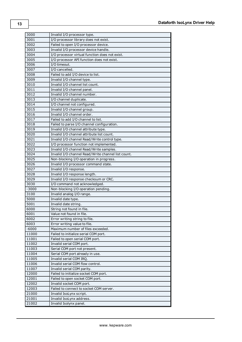| 3000    | Invalid I/O processor type.                        |
|---------|----------------------------------------------------|
| 3001    | I/O processor library does not exist.              |
| 3002    | Failed to open I/O processor device.               |
| 3003    | Invalid I/O processor device handle.               |
| 3004    | I/O processor virtual function does not exist.     |
| 3005    | I/O processor API function does not exist.         |
| 3006    | I/O timeout.                                       |
| 3007    | I/O cancelled.                                     |
| 3008    | Failed to add I/O device to list.                  |
| 3009    | Invalid I/O channel type.                          |
| 3010    | Invalid I/O channel list count.                    |
| 3011    | Invalid I/O channel panel.                         |
| 3012    | Invalid I/O channel number.                        |
| 3013    | I/O channel duplicate.                             |
| 3014    | I/O channel not configured.                        |
| 3015    | Invalid I/O channel group.                         |
| 3016    | Invalid I/O channel order.                         |
| 3017    | Failed to add I/O channel to list.                 |
| 3018    | Failed to parse I/O channel configuration.         |
| 3019    | Invalid I/O channel attribute type.                |
| 3020    | Invalid I/O channel attribute list count.          |
| 3021    |                                                    |
| 3022    | Invalid I/O channel Read/Write control type.       |
|         | I/O processor function not implemented.            |
| 3023    | Invalid I/O channel Read/Write samples.            |
| 3024    | Invalid I/O channel Read/Write channel list count. |
| 3025    | Non-blocking I/O operation in progress.            |
| 3026    | Invalid I/O processor command state.               |
| 3027    | Invalid I/O response.                              |
| 3028    | Invalid I/O response length.                       |
| 3029    | Invalid I/O response checksum or CRC.              |
| 3030    | I/O command not acknowledged.                      |
| $-3000$ | Non-blocking I/O operation pending.                |
| 3100    | Invalid analog I/O range.                          |
| 5000    | Invalid date type.                                 |
| 5001    | Invalid date string.                               |
| 6000    | String not found in file.                          |
| 6001    | Value not found in file.                           |
| 6002    | Error writing string to file.                      |
| 6003    | Error writing value to file.                       |
| $-6000$ | Maximum number of files exceeded.                  |
| 11000   | Failed to initialize serial COM port.              |
| 11001   | Failed to open serial COM port.                    |
| 11002   | Invalid serial COM port.                           |
| 11003   | Serial COM port not present.                       |
| 11004   | Serial COM port already in use.                    |
| 11005   | Invalid serial COM IRQ.                            |
| 11006   | Invalid serial COM flow control.                   |
| 11007   | Invalid serial COM parity.                         |
| 12000   | Failed to initialize socket COM port.              |
| 12001   | Failed to open socket COM port.                    |
| 12002   | Invalid socket COM port.                           |
| 12003   | Failed to connect to socket COM server.            |
| 21000   | Invalid IsoLynx script.                            |
| 21001   | Invalid IsoLynx address.                           |
| 21002   | Invalid Isolynx panel.                             |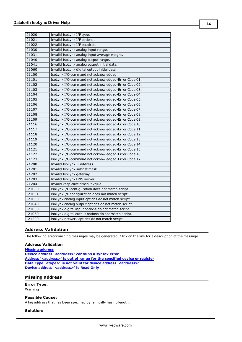| 21020    | Invalid IsoLynx I/F type.                           |
|----------|-----------------------------------------------------|
| 21021    | Invalid IsoLynx I/F options.                        |
| 21022    | Invalid IsoLynx I/F baudrate.                       |
| 21030    | Invalid IsoLynx analog input range.                 |
| 21031    | Invalid IsoLynx analog input average weight.        |
| 21040    | Invalid IsoLynx analog output range.                |
| 21041    | Invalid IsoLynx analog output initial data.         |
| 21060    | Invalid IsoLynx digital output initial data.        |
| 21100    | IsoLynx I/O command not acknowledged.               |
| 21101    | IsoLynx I/O command not acknowledged-Error Code 01. |
| 21102    | IsoLynx I/O command not acknowledged-Error Code 02. |
| 21103    | IsoLynx I/O command not acknowledged-Error Code 03. |
| 21104    | IsoLynx I/O command not acknowledged-Error Code 04. |
| 21105    | IsoLynx I/O command not acknowledged-Error Code 05. |
| 21106    | IsoLynx I/O command not acknowledged-Error Code 06. |
| 21107    | IsoLynx I/O command not acknowledged-Error Code 07. |
| 21108    | IsoLynx I/O command not acknowledged-Error Code 08. |
| 21109    | IsoLynx I/O command not acknowledged-Error Code 09. |
| 21116    | IsoLynx I/O command not acknowledged-Error Code 10. |
| 21117    | IsoLynx I/O command not acknowledged-Error Code 11. |
| 21118    | IsoLynx I/O command not acknowledged-Error Code 12. |
| 21119    | IsoLynx I/O command not acknowledged-Error Code 13. |
| 21120    | IsoLynx I/O command not acknowledged-Error Code 14. |
| 21121    | IsoLynx I/O command not acknowledged-Error Code 15. |
| 21122    | IsoLynx I/O command not acknowledged-Error Code 16. |
| 21123    | IsoLynx I/O command not acknowledged-Error Code 17. |
| 21200    | Invalid IsoLynx IP address.                         |
| 21201    | Invalid IsoLynx subnet mask.                        |
| 21202    | Invalid IsoLynx gateway.                            |
| 21203    | Invalid IsoLynx DNS server.                         |
| 21204    | Invalid keep alive timeout value.                   |
| $-21000$ | IsoLynx I/O configuration does not match script.    |
| $-21001$ | IsoLynx I/F configuration does not match script.    |
| $-21030$ | IsoLynx analog input options do not match script.   |
| $-21040$ | IsoLynx analog output options do not match script.  |
| $-21050$ | IsoLynx digital input options do not match script.  |
| $-21060$ | IsoLynx digital output options do not match script. |
| $-21200$ | IsoLynx network options do not match script.        |

### <span id="page-13-0"></span>**Address Validation**

The following error/warning messages may be generated. Click on the link for a description of the message.

#### **Address Validation**

**[Missing](#page-13-1) [address](#page-13-1) [Device](#page-14-0) [address](#page-14-0) ['<address>'](#page-14-0) [contains](#page-14-0) [a](#page-14-0) [syntax](#page-14-0) [error](#page-14-0) [Address](#page-14-1) ['<address>'](#page-14-1) [is](#page-14-1) [out](#page-14-1) [of](#page-14-1) [range](#page-14-1) [for](#page-14-1) [the](#page-14-1) [specified](#page-14-1) [device](#page-14-1) [or](#page-14-1) [register](#page-14-1) [Data](#page-14-2) [Type](#page-14-2) ['<type>'](#page-14-2) [is](#page-14-2) [not](#page-14-2) [valid](#page-14-2) [for](#page-14-2) [device](#page-14-2) [address](#page-14-2) ['<address>'](#page-14-2) [Device](#page-14-3) [address](#page-14-3) ['<address>'](#page-14-3) [is](#page-14-3) [Read](#page-14-3) [Only](#page-14-3)** 

#### <span id="page-13-1"></span>**Missing address**

**Error Type:** Warning

#### **Possible Cause:**

A tag address that has been specified dynamically has no length.

#### **Solution:**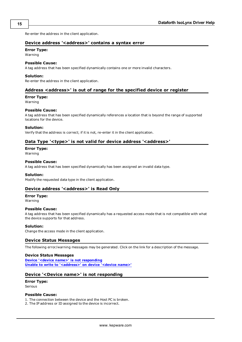<span id="page-14-0"></span>Re-enter the address in the client application.

### **Device address '<address>' contains a syntax error**

#### **Error Type:**

Warning

#### **Possible Cause:**

A tag address that has been specified dynamically contains one or more invalid characters.

#### **Solution:**

<span id="page-14-1"></span>Re-enter the address in the client application.

#### **Address <address>' is out of range for the specified device or register**

#### **Error Type:**

Warning

#### **Possible Cause:**

A tag address that has been specified dynamically references a location that is beyond the range of supported locations for the device.

#### **Solution:**

<span id="page-14-2"></span>Verify that the address is correct; if it is not, re-enter it in the client application.

#### **Data Type '<type>' is not valid for device address '<address>'**

## **Error Type:**

Warning

#### **Possible Cause:**

A tag address that has been specified dynamically has been assigned an invalid data type.

#### **Solution:**

<span id="page-14-3"></span>Modify the requested data type in the client application.

#### **Device address '<address>' is Read Only**

#### **Error Type:**

Warning

#### **Possible Cause:**

A tag address that has been specified dynamically has a requested access mode that is not compatible with what the device supports for that address.

#### **Solution:**

<span id="page-14-4"></span>Change the access mode in the client application.

#### **Device Status Messages**

The following error/warning messages may be generated. Click on the link for a description of the message.

#### **Device Status Messages**

**[Device](#page-14-5) ['<device](#page-14-5) [name>'](#page-14-5) [is](#page-14-5) [not](#page-14-5) [responding](#page-14-5) [Unable](#page-15-0) [to](#page-15-0) [write](#page-15-0) [to](#page-15-0) ['<address>'](#page-15-0) [on](#page-15-0) [device](#page-15-0) ['<device](#page-15-0) [name>'](#page-15-0)**

#### <span id="page-14-5"></span>**Device '<Device name>' is not responding**

## **Error Type:**

Serious

#### **Possible Cause:**

<span id="page-14-6"></span>1. The connection between the device and the Host PC is broken.

2. The IP address or ID assigned to the device is incorrect.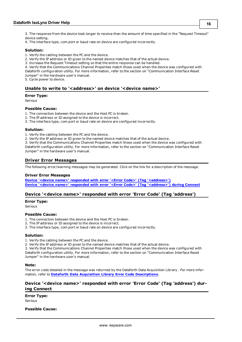3. The response from the device took longer to receive than the amount of time specified in the "Request Timeout" device setting.

4. The interface type, com port or baud rate on device are configured incorrectly.

#### **Solution:**

1. Verify the cabling between the PC and the device.

2. Verify the IP address or ID given to the named device matches that of the actual device.

3. Increase the Request Timeout setting so that the entire response can be handled.

4. Verify that the Communications Channel Properties match those used when the device was configured with

Dataforth configuration utility. For more information, refer to the section on "Communication Interface Reset Jumper" in the hardware user's manual.

<span id="page-15-0"></span>5. Cycle power to device.

### **Unable to write to '<address>' on device '<device name>'**

#### **Error Type:**

Serious

#### **Possible Cause:**

- 1. The connection between the device and the Host PC is broken.
- 2. The IP address or ID assigned to the device is incorrect.
- 3. The interface type, com port or baud rate on device are configured incorrectly.

#### **Solution:**

1. Verify the cabling between the PC and the device.

2. Verify the IP address or ID given to the named device matches that of the actual device.

3. Verify that the Communications Channel Properties match those used when the device was configured with Dataforth configuration utility. For more information, refer to the section on "Communication Interface Reset Jumper" in the hardware user's manual.

#### <span id="page-15-1"></span>**Driver Error Messages**

The following error/warning messages may be generated. Click on the link for a description of the message.

#### **Driver Error Messages**

**[Device](#page-15-2) ['<device](#page-15-2) [name>'](#page-15-2) [responded](#page-15-2) [with](#page-15-2) [error](#page-15-2) ['<Error](#page-15-2) [Code>'](#page-15-2) [\(Tag](#page-15-2) ['<address>'\)](#page-15-2) [Device](#page-15-3) ['<device](#page-15-3) [name>'](#page-15-3) [responded](#page-15-3) [with](#page-15-3) [error](#page-15-3) ['<Error](#page-15-3) [Code>'](#page-15-3) [\(Tag](#page-15-3) ['<address>'\)](#page-15-3) [during](#page-15-3) [Connect](#page-15-3)**

#### <span id="page-15-2"></span>**Device '<device name>' responded with error 'Error Code' (Tag 'address')**

#### **Error Type:**

Serious

#### **Possible Cause:**

- 1. The connection between the device and the Host PC is broken.
- 2. The IP address or ID assigned to the device is incorrect.
- 3. The interface type, com port or baud rate on device are configured incorrectly.

#### **Solution:**

1. Verify the cabling between the PC and the device.

2. Verify the IP address or ID given to the named device matches that of the actual device.

3. Verify that the Communications Channel Properties match those used when the device was configured with Dataforth configuration utility. For more information, refer to the section on "Communication Interface Reset Jumper" in the hardware user's manual.

#### **Note:**

The error code detailed in the message was returned by the Dataforth Data Acquisition Library . For more information, refer to **[Dataforth](#page-11-1) [Data](#page-11-1) [Acquisition](#page-11-1) [Library](#page-11-1) [Error](#page-11-1) [Code](#page-11-1) [Descriptions](#page-11-1)**.

### <span id="page-15-3"></span>**Device '<device name>' responded with error 'Error Code' (Tag 'address') during Connect**

#### **Error Type:**

Serious

#### **Possible Cause:**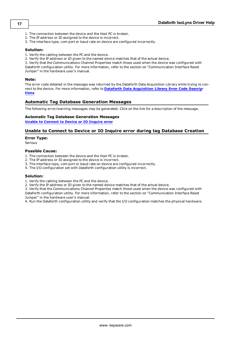- 1. The connection between the device and the Host PC is broken.
- 2. The IP address or ID assigned to the device is incorrect.
- 3. The interface type, com port or baud rate on device are configured incorrectly.

#### **Solution:**

1. Verify the cabling between the PC and the device.

2. Verify the IP address or ID given to the named device matches that of the actual device.

3. Verify that the Communications Channel Properties match those used when the device was configured with Dataforth configuration utility. For more information, refer to the section on "Communication Interface Reset Jumper" in the hardware user's manual.

#### **Note:**

The error code detailed in the message was returned by the Dataforth Data Acquisition Library while trying to connect to the device. For more information, refer to **[Dataforth](#page-11-1) [Data](#page-11-1) [Acquisition](#page-11-1) [Library](#page-11-1) [Error](#page-11-1) [Code](#page-11-1) [Descrip](#page-11-1)[tions](#page-11-1)**.

#### <span id="page-16-0"></span>**Automatic Tag Database Generation Messages**

The following error/warning messages may be generated. Click on the link for a description of the message.

#### **Automatic Tag Database Generation Messages**

<span id="page-16-1"></span>**[Unable](#page-16-1) [to](#page-16-1) [Connect](#page-16-1) [to](#page-16-1) [Device](#page-16-1) [or](#page-16-1) [IO](#page-16-1) [Inquire](#page-16-1) [error](#page-16-1)**

#### **Unable to Connect to Device or IO Inquire error during tag Database Creation**

#### **Error Type:**

Serious

#### **Possible Cause:**

1. The connection between the device and the Host PC is broken.

- 2. The IP address or ID assigned to the device is incorrect.
- 3. The interface type, com port or baud rate on device are configured incorrectly.
- 4. The I/O configuration set with Dataforth configuration utility is incorrect.

#### **Solution:**

1. Verify the cabling between the PC and the device.

2. Verify the IP address or ID given to the named device matches that of the actual device.

3. Verify that the Communications Channel Properties match those used when the device was configured with Dataforth configuration utility. For more information, refer to the section on "Communication Interface Reset Jumper" in the hardware user's manual.

4. Run the Dataforth configuration utility and verify that the I/O configuration matches the physical hardware.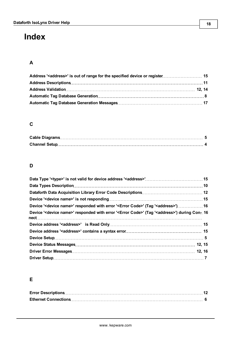# <span id="page-17-0"></span>**Index**

## **A**

| Address ' <address>' is out of range for the specified device or register 15</address> |  |
|----------------------------------------------------------------------------------------|--|
| Address Descriptions………………………………………………………………………………………11                                |  |
|                                                                                        |  |
|                                                                                        |  |
|                                                                                        |  |

## **C**

## **D**

| Device ' <device name="">' responded with error '<error code="">' (Tag '<address>') 16</address></error></device>             |  |
|-------------------------------------------------------------------------------------------------------------------------------|--|
| Device ' <device name="">' responded with error '<error code="">' (Tag '<address>') during Con- 16</address></error></device> |  |
|                                                                                                                               |  |
|                                                                                                                               |  |
|                                                                                                                               |  |
|                                                                                                                               |  |
|                                                                                                                               |  |
|                                                                                                                               |  |

## **E**